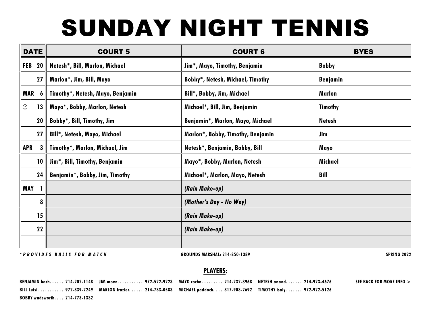## **SUNDAY NIGHT TENNIS**

| <b>DATE</b>            | <b>COURT 5</b>                   | <b>COURT 6</b>                    | <b>BYES</b>     |  |
|------------------------|----------------------------------|-----------------------------------|-----------------|--|
| 20 <sub>1</sub><br>FEB | Netesh*, Bill, Marlon, Michael   | Jim*, Mayo, Timothy, Benjamin     | <b>Bobby</b>    |  |
| 27 <sub>1</sub>        | Marlon*, Jim, Bill, Mayo         | Bobby*, Netesh, Michael, Timothy  | <b>Benjamin</b> |  |
| <b>MAR</b><br>6        | Timothy*, Netesh, Mayo, Benjamin | Bill*, Bobby, Jim, Michael        | Marlon          |  |
| ⊙<br>13                | Mayo*, Bobby, Marlon, Netesh     | Michael*, Bill, Jim, Benjamin     | <b>Timothy</b>  |  |
| 20                     | Bobby*, Bill, Timothy, Jim       | Benjamin*, Marlon, Mayo, Michael  | <b>Netesh</b>   |  |
| 27 <sub>l</sub>        | Bill*, Netesh, Mayo, Michael     | Marlon*, Bobby, Timothy, Benjamin | Jim             |  |
| APR<br>3               | Timothy*, Marlon, Michael, Jim   | Netesh*, Benjamin, Bobby, Bill    | Mayo            |  |
| 10 <sub>l</sub>        | Jim*, Bill, Timothy, Benjamin    | Mayo*, Bobby, Marlon, Netesh      | Michael         |  |
| 24                     | Benjamin*, Bobby, Jim, Timothy   | Michael*, Marlon, Mayo, Netesh    | Bill            |  |
| <b>MAY</b>             |                                  | (Rain Make-up)                    |                 |  |
| 8 <sup>1</sup>         |                                  | (Mother's Day - No Way)           |                 |  |
| 15 <sup>1</sup>        |                                  | (Rain Make-up)                    |                 |  |
| 22                     |                                  | (Rain Make-up)                    |                 |  |
|                        |                                  |                                   |                 |  |

*\* P R O V I D E S B A L L S F O R M A T C H* GROUNDS MARSHAL: 214-850-1389 SPRING 2022

## PLAYERS:

BENJAMIN bach. . . . . 214-202-1148 JIM moen. . . . . . . . . 972-522-9223 MAYO rocha. . . . . . 214-232-3968 NETESH anand. . . . . . 214-923-4676 BILL Luisi. . . . . . . . . . . 972-839-2249 MARLON frazier. . . . . . 214-783-0583 MICHAEL paddock. . . . 817-908-2692 TIMOTHY isaly. . . . . . . 972-922-5126 BOBBY wadsworth. . . . 214-773-1332 SEE BACK FOR MORE INFO >